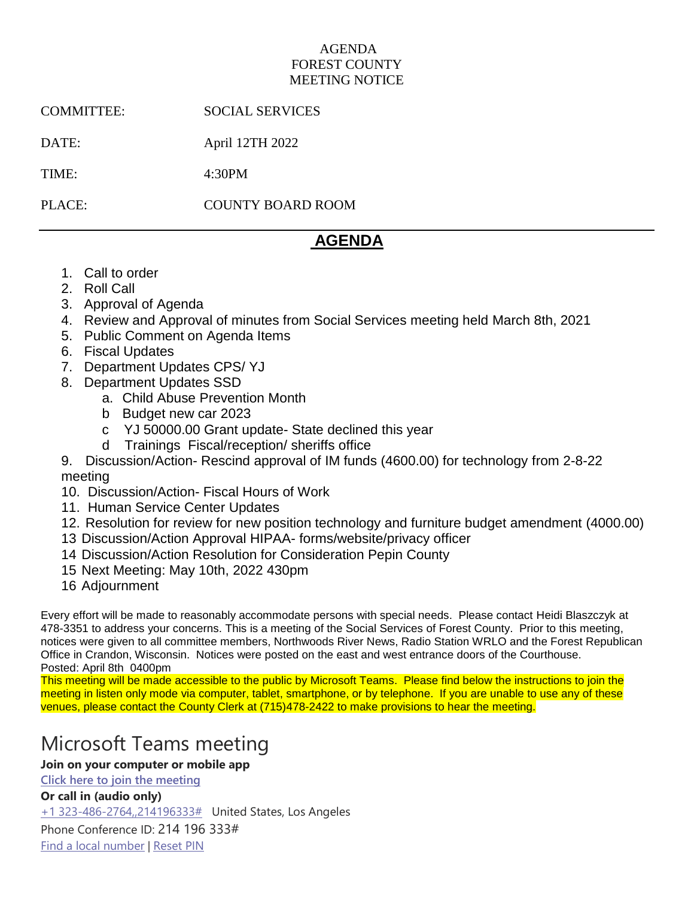## AGENDA FOREST COUNTY MEETING NOTICE

COMMITTEE: SOCIAL SERVICES

DATE: April 12TH 2022

TIME: 4:30PM

PLACE: COUNTY BOARD ROOM

## **AGENDA**

- 1. Call to order
- 2. Roll Call
- 3. Approval of Agenda
- 4. Review and Approval of minutes from Social Services meeting held March 8th, 2021
- 5. Public Comment on Agenda Items
- 6. Fiscal Updates
- 7. Department Updates CPS/ YJ
- 8. Department Updates SSD
	- a. Child Abuse Prevention Month
	- b Budget new car 2023
	- c YJ 50000.00 Grant update- State declined this year
	- d Trainings Fiscal/reception/ sheriffs office
- 9. Discussion/Action- Rescind approval of IM funds (4600.00) for technology from 2-8-22 meeting
- 10. Discussion/Action- Fiscal Hours of Work
- 11. Human Service Center Updates
- 12. Resolution for review for new position technology and furniture budget amendment (4000.00)
- 13 Discussion/Action Approval HIPAA- forms/website/privacy officer
- 14 Discussion/Action Resolution for Consideration Pepin County
- 15 Next Meeting: May 10th, 2022 430pm
- 16 Adjournment

Every effort will be made to reasonably accommodate persons with special needs. Please contact Heidi Blaszczyk at 478-3351 to address your concerns. This is a meeting of the Social Services of Forest County. Prior to this meeting, notices were given to all committee members, Northwoods River News, Radio Station WRLO and the Forest Republican Office in Crandon, Wisconsin. Notices were posted on the east and west entrance doors of the Courthouse. Posted: April 8th 0400pm

This meeting will be made accessible to the public by Microsoft Teams. Please find below the instructions to join the meeting in listen only mode via computer, tablet, smartphone, or by telephone. If you are unable to use any of these venues, please contact the County Clerk at (715)478-2422 to make provisions to hear the meeting.

# Microsoft Teams meeting

## **Join on your computer or mobile app**

**[Click here to join the meeting](https://teams.microsoft.com/l/meetup-join/19%3ameeting_NjgwYzQxMmEtZTA3YS00MDEwLThkNjItZTg4NTIxNTA0NjJm%40thread.v2/0?context=%7b%22Tid%22%3a%222bed56a8-0007-4d47-a61a-a2dd0d93f8ec%22%2c%22Oid%22%3a%22bb0bd87d-3442-407d-b538-5d7a937d1516%22%7d)**

## **Or call in (audio only)**

[+1 323-486-2764,,214196333#](tel:+13234862764,,214196333# ) United States, Los Angeles

Phone Conference ID: 214 196 333# [Find a local number](https://dialin.teams.microsoft.com/51617a7b-ba8a-4b29-8c96-3da1cd50eae6?id=214196333) | [Reset PIN](https://mysettings.lync.com/pstnconferencing)